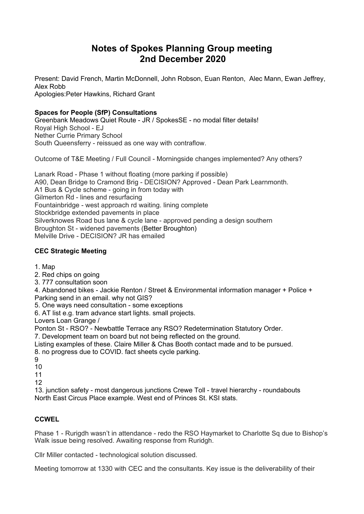# **Notes of Spokes Planning Group meeting 2nd December 2020**

Present: David French, Martin McDonnell, John Robson, Euan Renton, Alec Mann, Ewan Jeffrey, Alex Robb Apologies:Peter Hawkins, Richard Grant

# **Spaces for People (SfP) Consultations**

Greenbank Meadows Quiet Route - JR / SpokesSE - no modal filter details! Royal High School - EJ Nether Currie Primary School South Queensferry - reissued as one way with contraflow.

Outcome of T&E Meeting / Full Council - Morningside changes implemented? Any others?

Lanark Road - Phase 1 without floating (more parking if possible) A90, Dean Bridge to Cramond Brig - DECISION? Approved - Dean Park Learnmonth. A1 Bus & Cycle scheme - going in from today with Gilmerton Rd - lines and resurfacing Fountainbridge - west approach rd waiting. lining complete Stockbridge extended pavements in place Silverknowes Road bus lane & cycle lane - approved pending a design southern Broughton St - widened pavements (Better Broughton) Melville Drive - DECISION? JR has emailed

# **CEC Strategic Meeting**

- 1. Map
- 2. Red chips on going
- 3. 777 consultation soon

4. Abandoned bikes - Jackie Renton / Street & Environmental information manager + Police + Parking send in an email. why not GIS?

5. One ways need consultation - some exceptions

6. AT list e.g. tram advance start lights. small projects.

Lovers Loan Grange /

Ponton St - RSO? - Newbattle Terrace any RSO? Redetermination Statutory Order.

7. Development team on board but not being reflected on the ground.

Listing examples of these. Claire Miller & Chas Booth contact made and to be pursued.

- 8. no progress due to COVID. fact sheets cycle parking.
- 9
- 10

11

12

13. junction safety - most dangerous junctions Crewe Toll - travel hierarchy - roundabouts North East Circus Place example. West end of Princes St. KSI stats.

### **CCWEL**

Phase 1 - Rurigdh wasn't in attendance - redo the RSO Haymarket to Charlotte Sq due to Bishop's Walk issue being resolved. Awaiting response from Ruridgh.

Cllr Miller contacted - technological solution discussed.

Meeting tomorrow at 1330 with CEC and the consultants. Key issue is the deliverability of their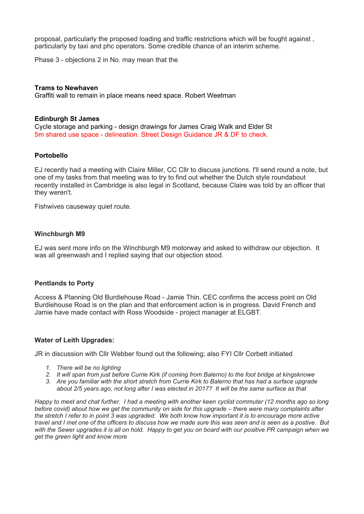proposal, particularly the proposed loading and traffic restrictions which will be fought against , particularly by taxi and phc operators. Some credible chance of an interim scheme.

Phase 3 - objections 2 in No. may mean that the

#### **Trams to Newhaven**

Graffiti wall to remain in place means need space. Robert Weetman

#### **Edinburgh St James**

Cycle storage and parking - design drawings for James Craig Walk and Elder St 5m shared use space - delineation. Street Design Guidance JR & DF to check.

#### **Portobello**

EJ recently had a meeting with Claire Miller, CC Cllr to discuss junctions. I'll send round a note, but one of my tasks from that meeting was to try to find out whether the Dutch style roundabout recently installed in Cambridge is also legal in Scotland, because Claire was told by an officer that they weren't.

Fishwives causeway quiet route.

#### **Winchburgh M9**

EJ was sent more info on the Winchburgh M9 motorway and asked to withdraw our objection. It was all greenwash and I replied saying that our objection stood.

#### **Pentlands to Porty**

Access & Planning Old Burdiehouse Road - Jamie Thin. CEC confirms the access point on Old Burdiehouse Road is on the plan and that enforcement action is in progress. David French and Jamie have made contact with Ross Woodside - project manager at ELGBT.

#### **Water of Leith Upgrades:**

JR in discussion with Cllr Webber found out the following; also FYI Cllr Corbett initiated

- *1. There will be no lighting*
- 2. It will span from just before Currie Kirk (if coming from Balerno) to the foot bridge at kingsknowe
- 3. Are you familiar with the short stretch from Currie Kirk to Balerno that has had a surface upgrade about 2/5 years ago, not long after I was elected in 2017? It will be the same surface as that

Happy to meet and chat further. I had a meeting with another keen cyclist commuter (12 months ago so long before covid) about how we get the community on side for this upgrade - there were many complaints after the stretch I refer to in point 3 was upgraded. We both know how important it is to encourage more active travel and I met one of the officers to discuss how we made sure this was seen and is seen as a postive. But with the Sewer upgrades it is all on hold. Happy to get you on board with our positive PR campaign when we *get the green light and know more*